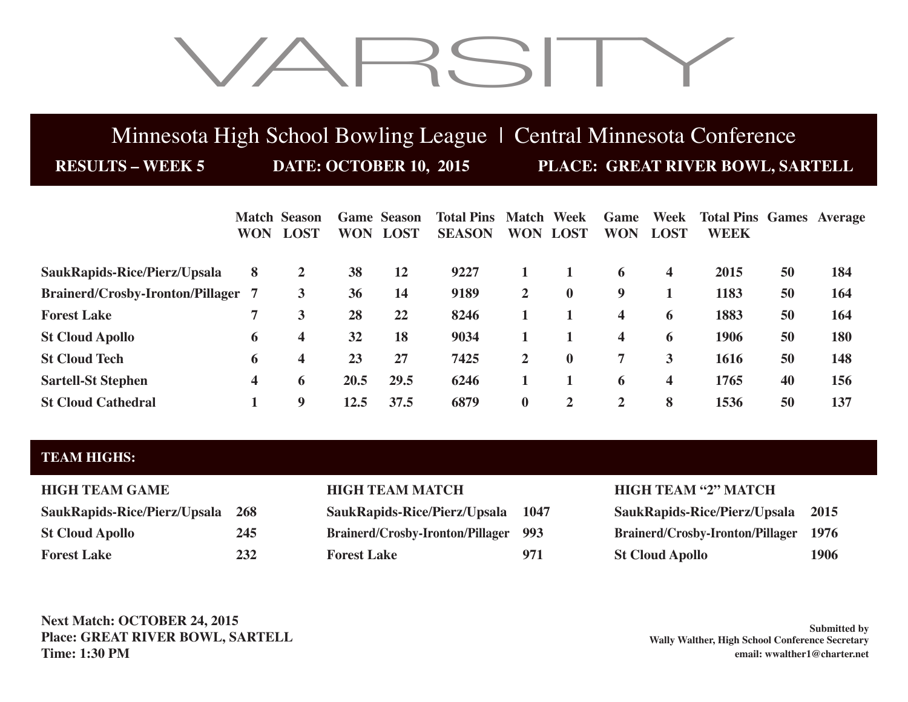# VARSITY

## Minnesota High School Bowling League | Central Minnesota Conference

**RESULTS – WEEK 5 DATE: OCTOBER 10, 2015 PLACE: GREAT RIVER BOWL, SARTELL**

|                                         | <b>WON</b> | <b>Match Season</b><br><b>LOST</b> | <b>WON</b> | <b>Game Season</b><br><b>LOST</b> | <b>Total Pins Match Week</b><br><b>SEASON</b> | <b>WON</b>     | <b>LOST</b>    | Game<br><b>WON</b>      | Week<br><b>LOST</b>     | <b>Total Pins Games Average</b><br><b>WEEK</b> |    |     |
|-----------------------------------------|------------|------------------------------------|------------|-----------------------------------|-----------------------------------------------|----------------|----------------|-------------------------|-------------------------|------------------------------------------------|----|-----|
|                                         |            |                                    |            |                                   |                                               |                |                |                         |                         |                                                |    |     |
| SaukRapids-Rice/Pierz/Upsala            | 8          | $\overline{2}$                     | 38         | 12                                | 9227                                          |                |                | 6                       | $\overline{\mathbf{4}}$ | 2015                                           | 50 | 184 |
| <b>Brainerd/Crosby-Ironton/Pillager</b> | -7         | 3                                  | 36         | 14                                | 9189                                          | $\overline{2}$ | $\bf{0}$       | 9                       |                         | 1183                                           | 50 | 164 |
| <b>Forest Lake</b>                      | 7          | 3                                  | 28         | 22                                | 8246                                          |                |                | $\overline{\mathbf{4}}$ | 6                       | 1883                                           | 50 | 164 |
| <b>St Cloud Apollo</b>                  | 6          | 4                                  | 32         | 18                                | 9034                                          |                |                | $\overline{\mathbf{4}}$ | 6                       | 1906                                           | 50 | 180 |
| <b>St Cloud Tech</b>                    | 6          | 4                                  | 23         | 27                                | 7425                                          | $\overline{2}$ | $\mathbf{0}$   | 7                       | 3                       | 1616                                           | 50 | 148 |
| <b>Sartell-St Stephen</b>               | 4          | 6                                  | 20.5       | 29.5                              | 6246                                          |                |                | 6                       | 4                       | 1765                                           | 40 | 156 |
| <b>St Cloud Cathedral</b>               |            | 9                                  | 12.5       | 37.5                              | 6879                                          | $\bf{0}$       | $\overline{2}$ | $\overline{2}$          | 8                       | 1536                                           | 50 | 137 |

### **TEAM HIGHS:**

| <b>HIGH TEAM GAME</b>        |            |
|------------------------------|------------|
| SaukRapids-Rice/Pierz/Upsala | <b>268</b> |
| <b>St Cloud Apollo</b>       | 245        |
| <b>Forest Lake</b>           | 232        |

| SaukRapids-Rice/Pierz/Upsala 268 |     | SaukRapids-Rice/Pierz/Upsala 1047           |     | <b>SaukRapids-Rice/Pierz/Upsala 2015</b>     |      |
|----------------------------------|-----|---------------------------------------------|-----|----------------------------------------------|------|
| <b>St Cloud Apollo</b>           | 245 | <b>Brainerd/Crosby-Ironton/Pillager 993</b> |     | <b>Brainerd/Crosby-Ironton/Pillager 1976</b> |      |
| <b>Forest Lake</b>               | 232 | <b>Forest Lake</b>                          | 971 | <b>St Cloud Apollo</b>                       | 1906 |

### **HIGH TEAM MATCH HIGH TEAM "2" MATCH**

| SaukRapids-Rice/Pierz/Upsala     | 2015 |
|----------------------------------|------|
| Brainerd/Crosby-Ironton/Pillager | 1976 |
| <b>St Cloud Apollo</b>           | 1906 |

**Next Match: OCTOBER 24, 2015 Place: GREAT RIVER BOWL, SARTELL Time: 1:30 PM**